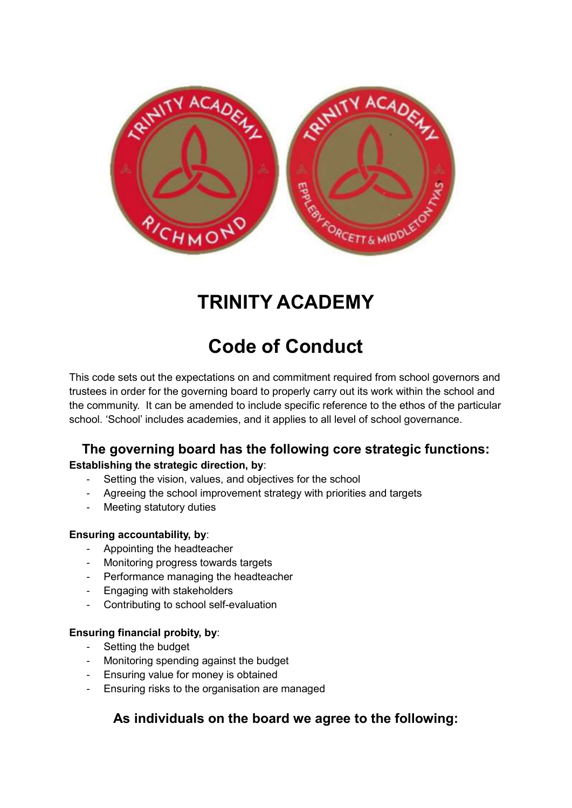

# **TRINITY ACADEMY**

# **Code of Conduct**

This code sets out the expectations on and commitment required from school governors and trustees in order for the governing board to properly carry out its work within the school and the community. It can be amended to include specific reference to the ethos of the particular school. 'School' includes academies, and it applies to all level of school governance.

# **The governing board has the following core strategic functions: Establishing the strategic direction, by**:

- Setting the vision, values, and objectives for the school
- Agreeing the school improvement strategy with priorities and targets
- Meeting statutory duties

## **Ensuring accountability, by**:

- Appointing the headteacher
- Monitoring progress towards targets
- Performance managing the headteacher
- Engaging with stakeholders
- Contributing to school self-evaluation

#### **Ensuring financial probity, by**:

- Setting the budget
- Monitoring spending against the budget
- Ensuring value for money is obtained
- Ensuring risks to the organisation are managed

# **As individuals on the board we agree to the following:**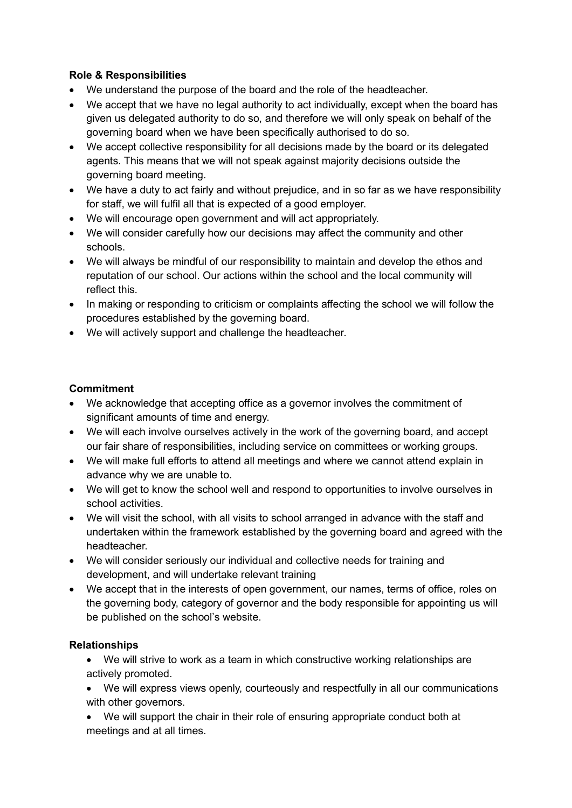## **Role & Responsibilities**

- We understand the purpose of the board and the role of the headteacher.
- We accept that we have no legal authority to act individually, except when the board has given us delegated authority to do so, and therefore we will only speak on behalf of the governing board when we have been specifically authorised to do so.
- We accept collective responsibility for all decisions made by the board or its delegated agents. This means that we will not speak against majority decisions outside the governing board meeting.
- We have a duty to act fairly and without prejudice, and in so far as we have responsibility for staff, we will fulfil all that is expected of a good employer.
- We will encourage open government and will act appropriately.
- We will consider carefully how our decisions may affect the community and other schools.
- We will always be mindful of our responsibility to maintain and develop the ethos and reputation of our school. Our actions within the school and the local community will reflect this.
- In making or responding to criticism or complaints affecting the school we will follow the procedures established by the governing board.
- We will actively support and challenge the headteacher.

## **Commitment**

- We acknowledge that accepting office as a governor involves the commitment of significant amounts of time and energy.
- We will each involve ourselves actively in the work of the governing board, and accept our fair share of responsibilities, including service on committees or working groups.
- We will make full efforts to attend all meetings and where we cannot attend explain in advance why we are unable to.
- We will get to know the school well and respond to opportunities to involve ourselves in school activities.
- We will visit the school, with all visits to school arranged in advance with the staff and undertaken within the framework established by the governing board and agreed with the headteacher.
- We will consider seriously our individual and collective needs for training and development, and will undertake relevant training
- We accept that in the interests of open government, our names, terms of office, roles on the governing body, category of governor and the body responsible for appointing us will be published on the school's website.

## **Relationships**

- We will strive to work as a team in which constructive working relationships are actively promoted.
- We will express views openly, courteously and respectfully in all our communications with other governors.
- We will support the chair in their role of ensuring appropriate conduct both at meetings and at all times.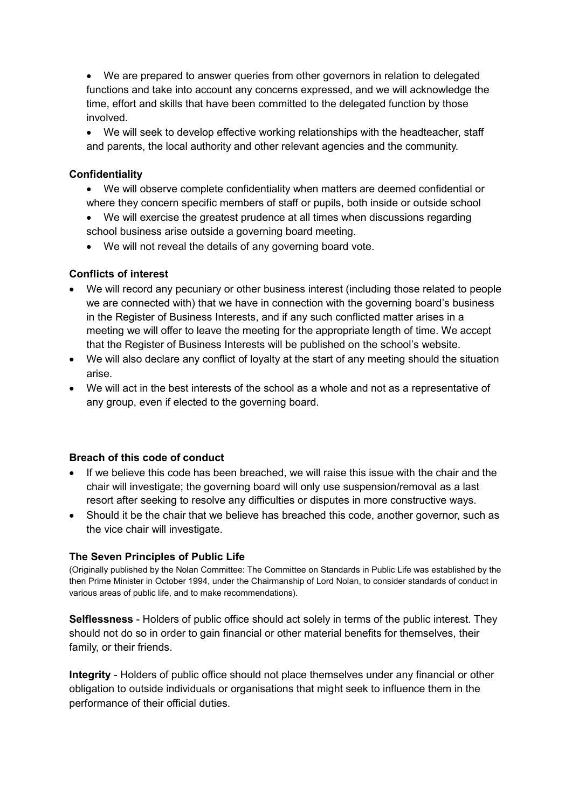We are prepared to answer queries from other governors in relation to delegated functions and take into account any concerns expressed, and we will acknowledge the time, effort and skills that have been committed to the delegated function by those involved.

 We will seek to develop effective working relationships with the headteacher, staff and parents, the local authority and other relevant agencies and the community.

#### **Confidentiality**

- We will observe complete confidentiality when matters are deemed confidential or where they concern specific members of staff or pupils, both inside or outside school
- We will exercise the greatest prudence at all times when discussions regarding school business arise outside a governing board meeting.
- We will not reveal the details of any governing board vote.

#### **Conflicts of interest**

- We will record any pecuniary or other business interest (including those related to people we are connected with) that we have in connection with the governing board's business in the Register of Business Interests, and if any such conflicted matter arises in a meeting we will offer to leave the meeting for the appropriate length of time. We accept that the Register of Business Interests will be published on the school's website.
- We will also declare any conflict of loyalty at the start of any meeting should the situation arise.
- We will act in the best interests of the school as a whole and not as a representative of any group, even if elected to the governing board.

#### **Breach of this code of conduct**

- If we believe this code has been breached, we will raise this issue with the chair and the chair will investigate; the governing board will only use suspension/removal as a last resort after seeking to resolve any difficulties or disputes in more constructive ways.
- Should it be the chair that we believe has breached this code, another governor, such as the vice chair will investigate.

#### **The Seven Principles of Public Life**

(Originally published by the Nolan Committee: The Committee on Standards in Public Life was established by the then Prime Minister in October 1994, under the Chairmanship of Lord Nolan, to consider standards of conduct in various areas of public life, and to make recommendations).

**Selflessness** - Holders of public office should act solely in terms of the public interest. They should not do so in order to gain financial or other material benefits for themselves, their family, or their friends.

**Integrity** - Holders of public office should not place themselves under any financial or other obligation to outside individuals or organisations that might seek to influence them in the performance of their official duties.